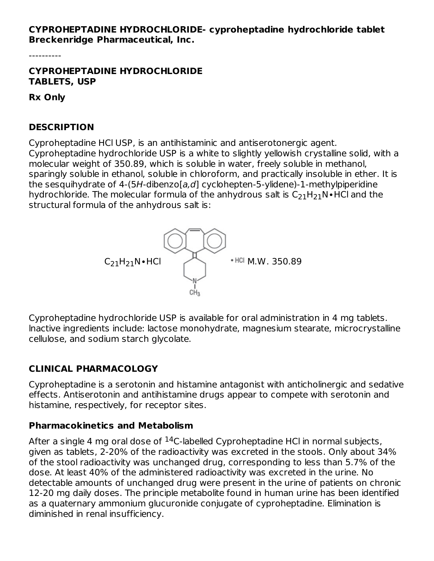#### **CYPROHEPTADINE HYDROCHLORIDE- cyproheptadine hydrochloride tablet Breckenridge Pharmaceutical, Inc.**

----------

**CYPROHEPTADINE HYDROCHLORIDE TABLETS, USP**

**Rx Only**

#### **DESCRIPTION**

Cyproheptadine HCl USP, is an antihistaminic and antiserotonergic agent. Cyproheptadine hydrochloride USP is a white to slightly yellowish crystalline solid, with a molecular weight of 350.89, which is soluble in water, freely soluble in methanol, sparingly soluble in ethanol, soluble in chloroform, and practically insoluble in ether. It is the sesquihydrate of 4-(5H-dibenzo[a,d] cyclohepten-5-ylidene)-1-methylpiperidine hydrochloride. The molecular formula of the anhydrous salt is  $\mathsf{C}_{21}\mathsf{H}_{21}\mathsf{N} \bullet \mathsf{HCl}$  and the structural formula of the anhydrous salt is:



Cyproheptadine hydrochloride USP is available for oral administration in 4 mg tablets. lnactive ingredients include: lactose monohydrate, magnesium stearate, microcrystalline cellulose, and sodium starch glycolate.

# **CLINICAL PHARMACOLOGY**

Cyproheptadine is a serotonin and histamine antagonist with anticholinergic and sedative effects. Antiserotonin and antihistamine drugs appear to compete with serotonin and histamine, respectively, for receptor sites.

#### **Pharmacokinetics and Metabolism**

After a single 4 mg oral dose of  $^{14}$ C-labelled Cyproheptadine HCl in normal subjects, given as tablets, 2-20% of the radioactivity was excreted in the stools. Only about 34% of the stool radioactivity was unchanged drug, corresponding to less than 5.7% of the dose. At least 40% of the administered radioactivity was excreted in the urine. No detectable amounts of unchanged drug were present in the urine of patients on chronic 12-20 mg daily doses. The principle metabolite found in human urine has been identified as a quaternary ammonium glucuronide conjugate of cyproheptadine. Elimination is diminished in renal insufficiency.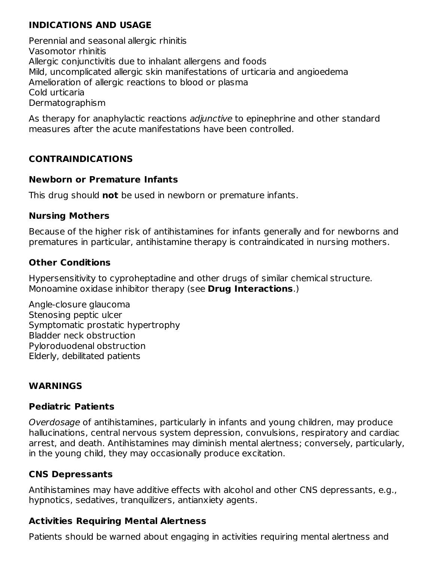#### **INDICATIONS AND USAGE**

Perennial and seasonal allergic rhinitis Vasomotor rhinitis Allergic conjunctivitis due to inhalant allergens and foods Mild, uncomplicated allergic skin manifestations of urticaria and angioedema Amelioration of allergic reactions to blood or plasma Cold urticaria Dermatographism

As therapy for anaphylactic reactions *adjunctive* to epinephrine and other standard measures after the acute manifestations have been controlled.

# **CONTRAINDICATIONS**

#### **Newborn or Premature Infants**

This drug should **not** be used in newborn or premature infants.

#### **Nursing Mothers**

Because of the higher risk of antihistamines for infants generally and for newborns and prematures in particular, antihistamine therapy is contraindicated in nursing mothers.

#### **Other Conditions**

Hypersensitivity to cyproheptadine and other drugs of similar chemical structure. Monoamine oxidase inhibitor therapy (see **Drug Interactions**.)

Angle-closure glaucoma Stenosing peptic ulcer Symptomatic prostatic hypertrophy Bladder neck obstruction Pyloroduodenal obstruction Elderly, debilitated patients

#### **WARNINGS**

#### **Pediatric Patients**

Overdosage of antihistamines, particularly in infants and young children, may produce hallucinations, central nervous system depression, convulsions, respiratory and cardiac arrest, and death. Antihistamines may diminish mental alertness; conversely, particularly, in the young child, they may occasionally produce excitation.

#### **CNS Depressants**

Antihistamines may have additive effects with alcohol and other CNS depressants, e.g., hypnotics, sedatives, tranquilizers, antianxiety agents.

#### **Activities Requiring Mental Alertness**

Patients should be warned about engaging in activities requiring mental alertness and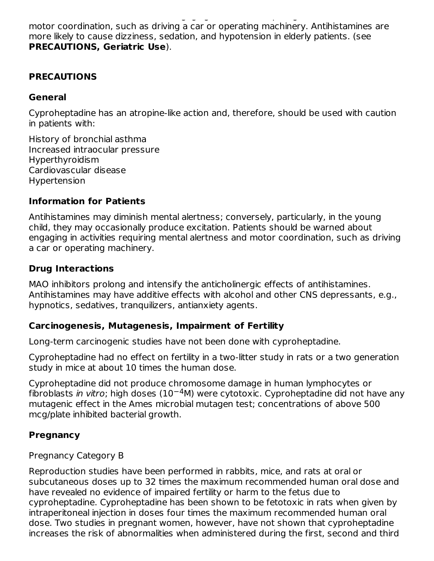Patients should be warned about engaging in activities requiring mental alertness and motor coordination, such as driving a car or operating machinery. Antihistamines are more likely to cause dizziness, sedation, and hypotension in elderly patients. (see **PRECAUTIONS, Geriatric Use**).

## **PRECAUTIONS**

#### **General**

Cyproheptadine has an atropine-like action and, therefore, should be used with caution in patients with:

History of bronchial asthma Increased intraocular pressure Hyperthyroidism Cardiovascular disease Hypertension

## **Information for Patients**

Antihistamines may diminish mental alertness; conversely, particularly, in the young child, they may occasionally produce excitation. Patients should be warned about engaging in activities requiring mental alertness and motor coordination, such as driving a car or operating machinery.

#### **Drug Interactions**

MAO inhibitors prolong and intensify the anticholinergic effects of antihistamines. Antihistamines may have additive effects with alcohol and other CNS depressants, e.g., hypnotics, sedatives, tranquilizers, antianxiety agents.

#### **Carcinogenesis, Mutagenesis, Impairment of Fertility**

Long-term carcinogenic studies have not been done with cyproheptadine.

Cyproheptadine had no effect on fertility in a two-litter study in rats or a two generation study in mice at about 10 times the human dose.

Cyproheptadine did not produce chromosome damage in human lymphocytes or fibroblasts *in vitro*; high doses (10<sup>-4</sup>M) were cytotoxic. Cyproheptadine did not have any mutagenic effect in the Ames microbial mutagen test; concentrations of above 500 mcg/plate inhibited bacterial growth.

# **Pregnancy**

Pregnancy Category B

Reproduction studies have been performed in rabbits, mice, and rats at oral or subcutaneous doses up to 32 times the maximum recommended human oral dose and have revealed no evidence of impaired fertility or harm to the fetus due to cyproheptadine. Cyproheptadine has been shown to be fetotoxic in rats when given by intraperitoneal injection in doses four times the maximum recommended human oral dose. Two studies in pregnant women, however, have not shown that cyproheptadine increases the risk of abnormalities when administered during the first, second and third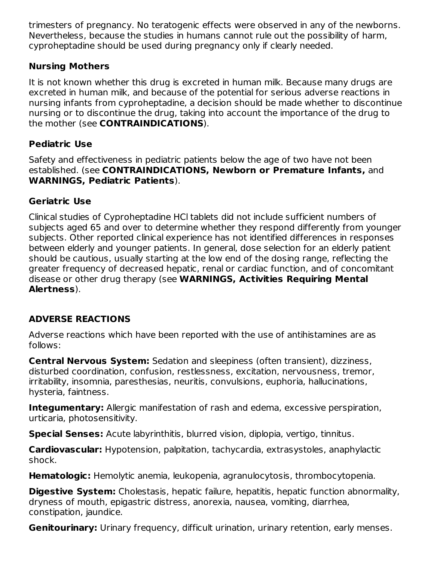trimesters of pregnancy. No teratogenic effects were observed in any of the newborns. Nevertheless, because the studies in humans cannot rule out the possibility of harm, cyproheptadine should be used during pregnancy only if clearly needed.

# **Nursing Mothers**

It is not known whether this drug is excreted in human milk. Because many drugs are excreted in human milk, and because of the potential for serious adverse reactions in nursing infants from cyproheptadine, a decision should be made whether to discontinue nursing or to discontinue the drug, taking into account the importance of the drug to the mother (see **CONTRAINDICATIONS**).

# **Pediatric Use**

Safety and effectiveness in pediatric patients below the age of two have not been established. (see **CONTRAINDICATIONS, Newborn or Premature Infants,** and **WARNINGS, Pediatric Patients**).

# **Geriatric Use**

Clinical studies of Cyproheptadine HCl tablets did not include sufficient numbers of subjects aged 65 and over to determine whether they respond differently from younger subjects. Other reported clinical experience has not identified differences in responses between elderly and younger patients. In general, dose selection for an elderly patient should be cautious, usually starting at the low end of the dosing range, reflecting the greater frequency of decreased hepatic, renal or cardiac function, and of concomitant disease or other drug therapy (see **WARNINGS, Activities Requiring Mental Alertness**).

# **ADVERSE REACTIONS**

Adverse reactions which have been reported with the use of antihistamines are as follows:

**Central Nervous System:** Sedation and sleepiness (often transient), dizziness, disturbed coordination, confusion, restlessness, excitation, nervousness, tremor, irritability, insomnia, paresthesias, neuritis, convulsions, euphoria, hallucinations, hysteria, faintness.

**Integumentary:** Allergic manifestation of rash and edema, excessive perspiration, urticaria, photosensitivity.

**Special Senses:** Acute labyrinthitis, blurred vision, diplopia, vertigo, tinnitus.

**Cardiovascular:** Hypotension, palpitation, tachycardia, extrasystoles, anaphylactic shock.

**Hematologic:** Hemolytic anemia, leukopenia, agranulocytosis, thrombocytopenia.

**Digestive System:** Cholestasis, hepatic failure, hepatitis, hepatic function abnormality, dryness of mouth, epigastric distress, anorexia, nausea, vomiting, diarrhea, constipation, jaundice.

**Genitourinary:** Urinary frequency, difficult urination, urinary retention, early menses.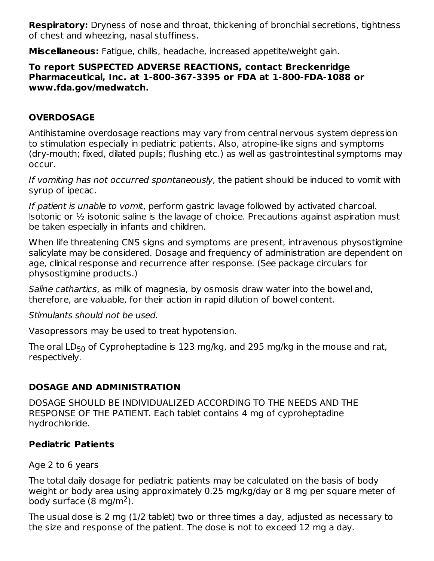**Respiratory:** Dryness of nose and throat, thickening of bronchial secretions, tightness of chest and wheezing, nasal stuffiness.

**Miscellaneous:** Fatigue, chills, headache, increased appetite/weight gain.

#### **To report SUSPECTED ADVERSE REACTIONS, contact Breckenridge Pharmaceutical, Inc. at 1-800-367-3395 or FDA at 1-800-FDA-1088 or www.fda.gov/medwatch.**

# **OVERDOSAGE**

Antihistamine overdosage reactions may vary from central nervous system depression to stimulation especially in pediatric patients. Also, atropine-like signs and symptoms (dry-mouth; fixed, dilated pupils; flushing etc.) as well as gastrointestinal symptoms may occur.

If vomiting has not occurred spontaneously, the patient should be induced to vomit with syrup of ipecac.

If patient is unable to vomit, perform gastric lavage followed by activated charcoal. lsotonic or ½ isotonic saline is the lavage of choice. Precautions against aspiration must be taken especially in infants and children.

When life threatening CNS signs and symptoms are present, intravenous physostigmine salicylate may be considered. Dosage and frequency of administration are dependent on age, clinical response and recurrence after response. (See package circulars for physostigmine products.)

Saline cathartics, as milk of magnesia, by osmosis draw water into the bowel and, therefore, are valuable, for their action in rapid dilution of bowel content.

Stimulants should not be used.

Vasopressors may be used to treat hypotension.

The oral  $\mathsf{LD}_{50}$  of Cyproheptadine is  $123$  mg/kg, and 295 mg/kg in the mouse and rat, respectively.

# **DOSAGE AND ADMINISTRATION**

DOSAGE SHOULD BE INDIVIDUALIZED ACCORDING TO THE NEEDS AND THE RESPONSE OF THE PATIENT. Each tablet contains 4 mg of cyproheptadine hydrochloride.

# **Pediatric Patients**

Age 2 to 6 years

The total daily dosage for pediatric patients may be calculated on the basis of body weight or body area using approximately 0.25 mg/kg/day or 8 mg per square meter of body surface  $(8 \text{ mg/m}^2)$ .

The usual dose is 2 mg (1/2 tablet) two or three times a day, adjusted as necessary to the size and response of the patient. The dose is not to exceed 12 mg a day.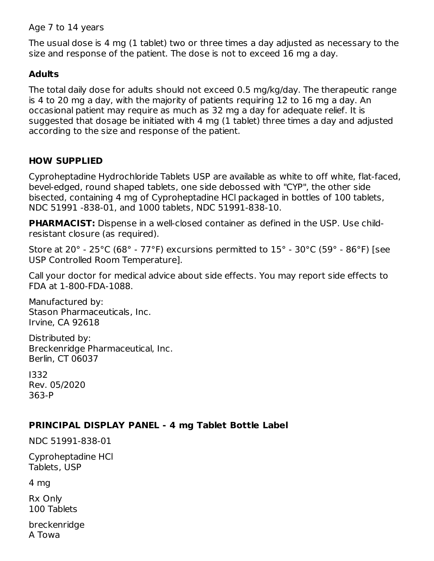Age 7 to 14 years

The usual dose is 4 mg (1 tablet) two or three times a day adjusted as necessary to the size and response of the patient. The dose is not to exceed 16 mg a day.

## **Adults**

The total daily dose for adults should not exceed 0.5 mg/kg/day. The therapeutic range is 4 to 20 mg a day, with the majority of patients requiring 12 to 16 mg a day. An occasional patient may require as much as 32 mg a day for adequate relief. It is suggested that dosage be initiated with 4 mg (1 tablet) three times a day and adjusted according to the size and response of the patient.

## **HOW SUPPLIED**

Cyproheptadine Hydrochloride Tablets USP are available as white to off white, flat-faced, bevel-edged, round shaped tablets, one side debossed with "CYP", the other side bisected, containing 4 mg of Cyproheptadine HCl packaged in bottles of 100 tablets, NDC 51991 -838-01, and 1000 tablets, NDC 51991-838-10.

**PHARMACIST:** Dispense in a well-closed container as defined in the USP. Use childresistant closure (as required).

Store at 20 $^{\circ}$  - 25 $^{\circ}$ C (68 $^{\circ}$  - 77 $^{\circ}$ F) excursions permitted to 15 $^{\circ}$  - 30 $^{\circ}$ C (59 $^{\circ}$  - 86 $^{\circ}$ F) [see USP Controlled Room Temperature].

Call your doctor for medical advice about side effects. You may report side effects to FDA at 1-800-FDA-1088.

Manufactured by: Stason Pharmaceuticals, Inc. Irvine, CA 92618

Distributed by: Breckenridge Pharmaceutical, Inc. Berlin, CT 06037

I332 Rev. 05/2020 363-P

# **PRINCIPAL DISPLAY PANEL - 4 mg Tablet Bottle Label**

NDC 51991-838-01

Cyproheptadine HCl Tablets, USP

4 mg

Rx Only 100 Tablets

breckenridge A Towa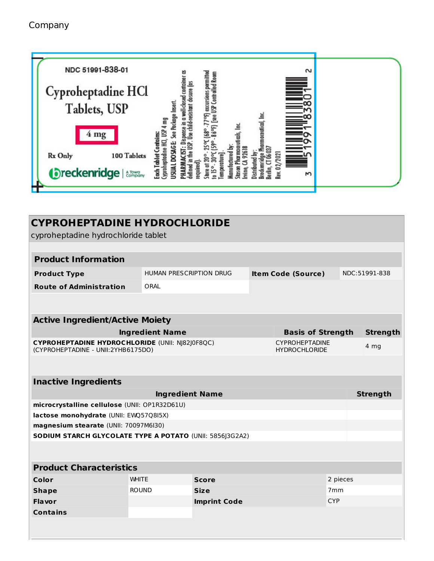# Company



| <b>CYPROHEPTADINE HYDROCHLORIDE</b><br>cyproheptadine hydrochloride tablet            |                        |                                |                           |                                               |                 |                 |
|---------------------------------------------------------------------------------------|------------------------|--------------------------------|---------------------------|-----------------------------------------------|-----------------|-----------------|
|                                                                                       |                        |                                |                           |                                               |                 |                 |
| <b>Product Information</b>                                                            |                        |                                |                           |                                               |                 |                 |
| <b>Product Type</b>                                                                   |                        | <b>HUMAN PRESCRIPTION DRUG</b> | <b>Item Code (Source)</b> |                                               | NDC:51991-838   |                 |
| <b>Route of Administration</b>                                                        | ORAL                   |                                |                           |                                               |                 |                 |
|                                                                                       |                        |                                |                           |                                               |                 |                 |
| <b>Active Ingredient/Active Moiety</b>                                                |                        |                                |                           |                                               |                 |                 |
|                                                                                       | <b>Ingredient Name</b> |                                |                           | <b>Basis of Strength</b>                      |                 | <b>Strength</b> |
| CYPROHEPTADINE HYDROCHLORIDE (UNII: NJ82J0F8QC)<br>(CYPROHEPTADINE - UNII:2YHB6175DO) |                        |                                |                           | <b>CYPROHEPTADINE</b><br><b>HYDROCHLORIDE</b> |                 | 4 mg            |
|                                                                                       |                        |                                |                           |                                               |                 |                 |
| <b>Inactive Ingredients</b>                                                           |                        |                                |                           |                                               |                 |                 |
| <b>Ingredient Name</b>                                                                |                        |                                |                           |                                               | <b>Strength</b> |                 |
| microcrystalline cellulose (UNII: OP1R32D61U)                                         |                        |                                |                           |                                               |                 |                 |
| lactose monohydrate (UNII: EWQ57Q8I5X)                                                |                        |                                |                           |                                               |                 |                 |
| magnesium stearate (UNII: 70097M6I30)                                                 |                        |                                |                           |                                               |                 |                 |
| SODIUM STARCH GLYCOLATE TYPE A POTATO (UNII: 5856J3G2A2)                              |                        |                                |                           |                                               |                 |                 |
|                                                                                       |                        |                                |                           |                                               |                 |                 |
| <b>Product Characteristics</b>                                                        |                        |                                |                           |                                               |                 |                 |
| Color                                                                                 | <b>WHITE</b>           | <b>Score</b>                   |                           |                                               | 2 pieces        |                 |
| <b>Shape</b>                                                                          | <b>ROUND</b>           | <b>Size</b>                    |                           | 7mm                                           |                 |                 |
| <b>Flavor</b>                                                                         |                        | <b>Imprint Code</b>            |                           | <b>CYP</b>                                    |                 |                 |
| <b>Contains</b>                                                                       |                        |                                |                           |                                               |                 |                 |
|                                                                                       |                        |                                |                           |                                               |                 |                 |
|                                                                                       |                        |                                |                           |                                               |                 |                 |